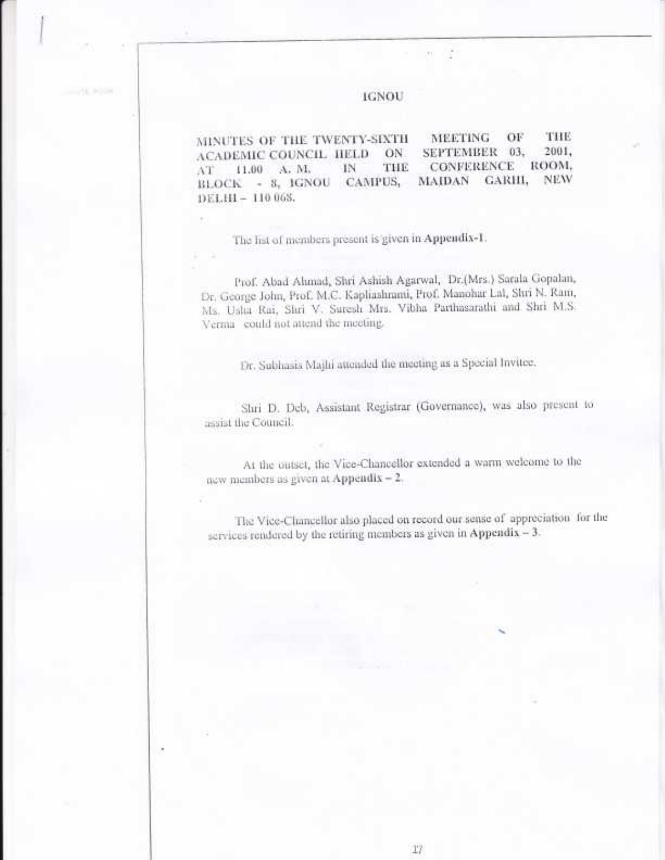## **IGNOU**

÷

THE **MEETING** OF MINUTES OF THE TWENTY-SIXTH 2001. SEPTEMBER 03. ACADEMIC COUNCIL HELD ON. **CONFERENCE** ROOM. THE 11.00 A. M. 1N AT NEW GARHI, BLOCK - 8, IGNOU CAMPUS, **MAIDAN** DELHI - 110 068.

The list of members present is given in Appendix-1.

Prof. Abad Ahmad, Shri Ashish Agarwal, Dr.(Mrs.) Sarala Gopalan, Dr. George John, Prof. M.C. Kapliashrami, Prof. Manohar Lal, Shri N. Ram, Ms. Uslta Rai, Shri V. Suresh Mrs. Vibha Parthasarathi and Shri M.S. Verma could not attend the meeting.

Dr. Subhasis Majhi attended the meeting as a Special Invitee,

Shri D. Deb, Assistant Registrar (Governance), was also present to assist the Council.

At the outset, the Vice-Chancellor extended a warm welcome to the new members as given at Appendix - 2.

The Vice-Chancellor also placed on record our sense of appreciation for the services rendered by the retiring members as given in Appendix - 3.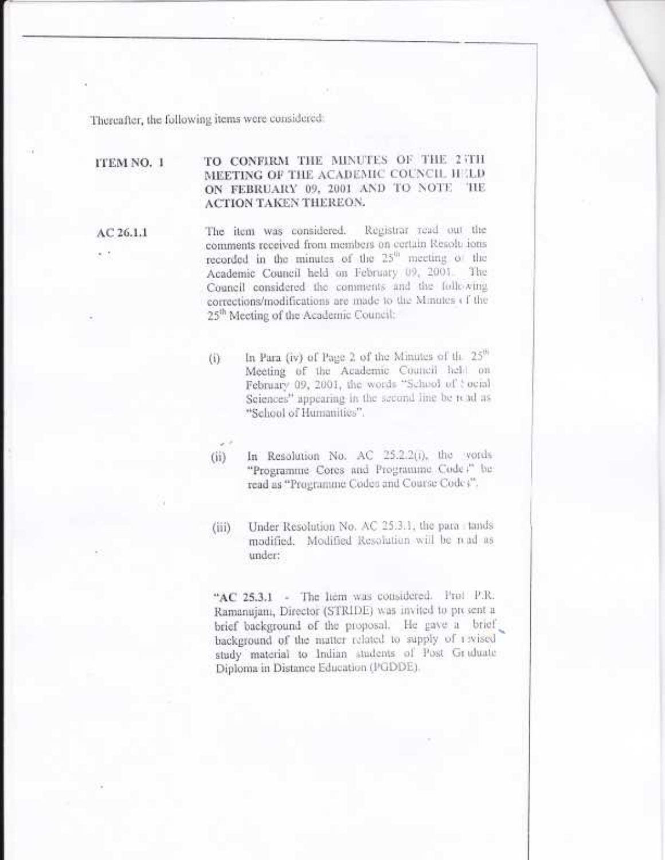Thereafter, the following items were considered:

## TO CONFIRM THE MINUTES OF THE 2 TH ITEM NO. 1 MEETING OF THE ACADEMIC COUNCIL HELD ON FEBRUARY 09, 2001 AND TO NOTE THE ACTION TAKEN THEREON.

AC 26.1.1

Registrar read out the The item was considered. comments received from members on certain Resolutions recorded in the minutes of the 25<sup>th</sup> meeting of the Academic Council held on February 09, 2001. The Council considered the comments and the following corrections/modifications are made to the Minutes of the 25<sup>th</sup> Meeting of the Academic Council:

- In Para (iv) of Page 2 of the Minutes of the 25<sup>th</sup>  $(i)$ Meeting of the Academic Council held on February 09, 2001, the words "School of tocial Sciences" appearing in the second line be read as "School of Humanities".
- $(ii)$ 
	- In Resolution No. AC 25.2.2(i), the vords "Programme Cores and Programme Code," be read as "Programme Codes and Course Codes".
- Under Resolution No. AC 25.3.1, the para tands  $(iii)$ modified. Modified Resolution will be mad as under:

"AC 25.3.1 - The liem was considered. Prof. P.R. Ramanujam, Director (STRIDE) was invited to present a brief background of the proposal. He gave a brief background of the matter related to supply of rivised study material to Indian students of Post Graduate Diploma in Distance Education (PGDDE).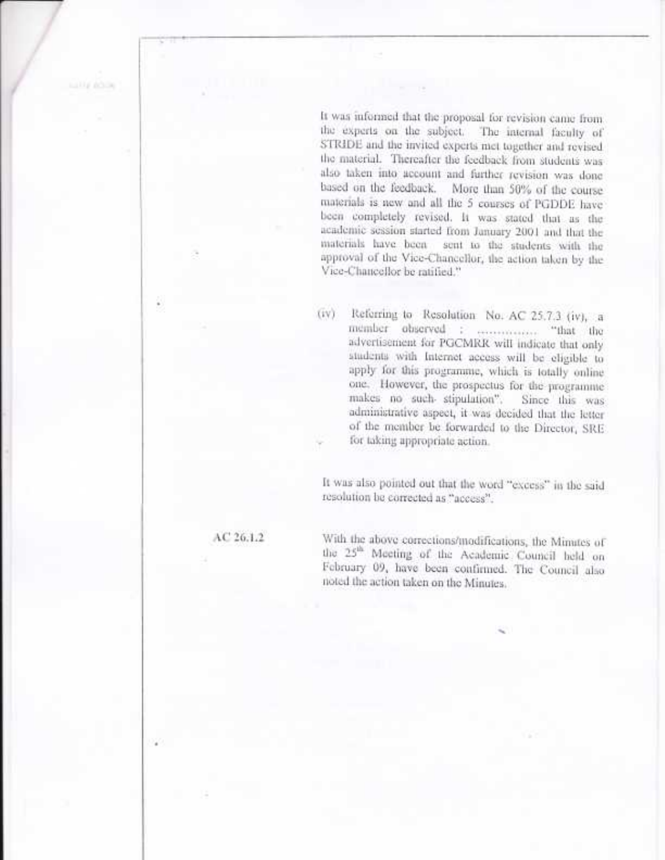It was informed that the proposal for revision came from the experts on the subject. The internal faculty of STRIDE and the invited experts met together and revised the material. Thereafter the feedback from students was also taken into account and further revision was done based on the feedback. More than 50% of the course materials is new and all the 5 courses of PGDDE have been completely revised. It was stated that as the academic session started from January 2001 and that the materials have been sent to the students with the approval of the Vice-Chancellor, the action taken by the Vice-Chancellor be ratified."

Referring to Resolution No. AC 25.7.3 (iv), a (iv) member observed : ................ "that the advertisement for PGCMRR will indicate that only students with Internet access will be eligible to apply for this programme, which is totally online one. However, the prospectus for the programme makes no such stipulation". Since this was administrative aspect, it was decided that the letter of the member be forwarded to the Director, SRE for taking appropriate action.

It was also pointed out that the word "excess" in the said resolution be corrected as "access".

 $AC26.1.2$ 

With the above corrections/modifications, the Minutes of the 25<sup>th</sup> Meeting of the Academic Council held on February 09, have been confirmed. The Council also noted the action taken on the Minutes.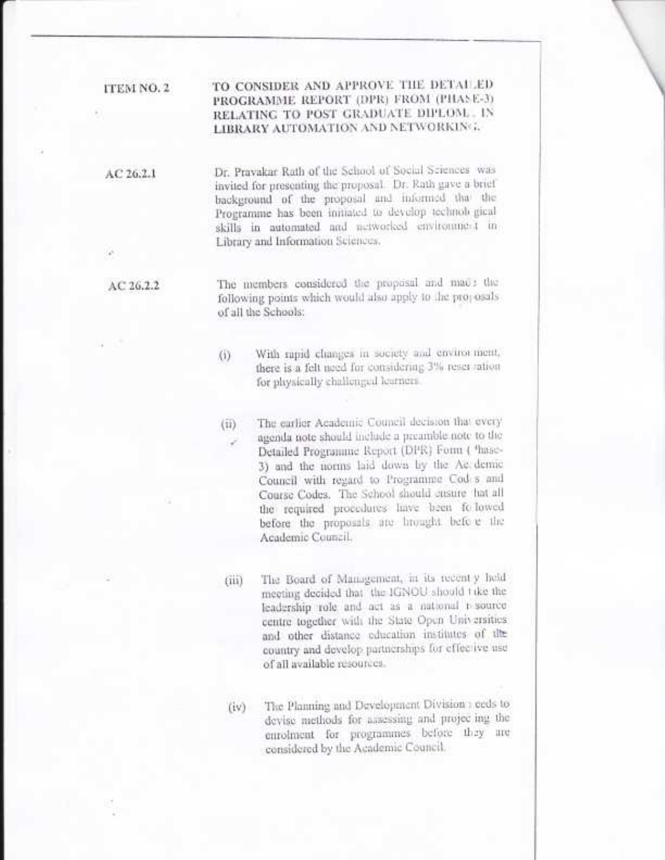## TO CONSIDER AND APPROVE THE DETAILED ITEM NO. 2 PROGRAMME REPORT (DPR) FROM (PHASE-3) RELATING TO POST GRADUATE DIPLOM. IN LIBRARY AUTOMATION AND NETWORKING.

Dr. Pravakar Rath of the School of Social Sciences was  $AC26.2.1$ invited for presenting the proposal. Dr. Rath gave a brief background of the proposal and informed that the Programme has been initiated to develop technological skills in automated and metworked environment in Library and Information Sciences.

AC 26.2.2

The members considered the proposal and made the following points which would also apply to the projosals of all the Schools:

- With rapid changes in society and envirorment,  $(i)$ there is a felt need for considering 3% reservation for physically challenged learners.
- The earlier Academic Council decision that every  $(ii)$ agenda note should include a preamble note to the Detailed Programme Report (DPR) Form ( 'hase-3) and the norms laid down by the Ac demic Council with regard to Programme Cod s and Course Codes. The School should ensure hat all the required procedures have been followed before the proposals are brought before the Academic Council.

The Board of Management, in its recent y held  $(iii)$ meeting decided that the KiNOU should take the leadership role and act as a national r-source centre together with the State Open Universities. and other distance education institutes of the country and develop partnerships for effective use of all available resources.

The Planning and Development Division : ceds to  $(iv)$ devise methods for assessing and projecting the enrolment for programmes before they are considered by the Academic Council.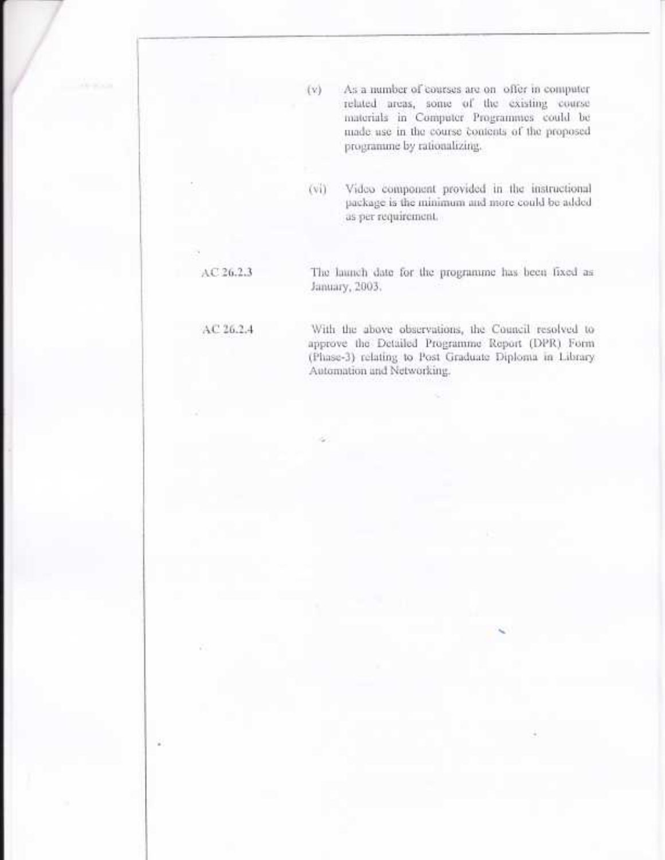- As a number of courses are on offer in computer related areas, some of the existing course materials in Computer Programmes could be made use in the course contents of the proposed programme by rationalizing.
- Video component provided in the instructional  $(v_i)$ package is the minimum and more could be added as per requirement.

## $AC26.2.3$

 $(v)$ 

January, 2003.

## AC 26.2.4

With the above observations, the Council resolved to approve the Detailed Programme Report (DPR) Form (Phase-3) relating to Post Graduate Diploma in Library Automation and Networking.

The launch date for the programme has been fixed as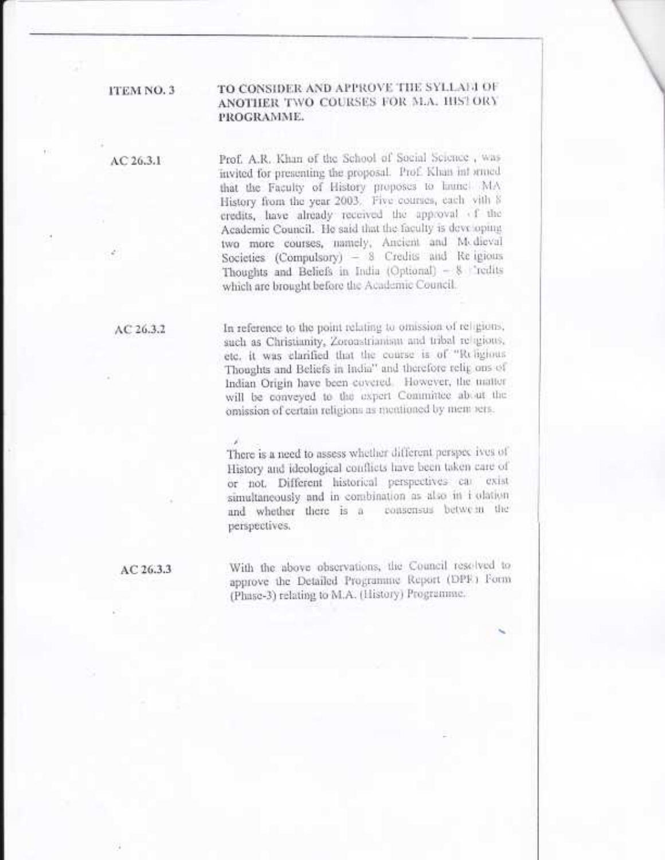## TO CONSIDER AND APPROVE THE SYLLAGE OF ANOTHER TWO COURSES FOR M.A. HISTORY PROGRAMME.

 $AC26.3.1$ 

ITEM NO. 3

Prof. A.R. Khan of the School of Social Science, was invited for presenting the proposal. Prof. Khan informed that the Faculty of History proposes to hunel MA History from the year 2003. Five courses, each vith 8 credits, have already received the approval of the Academic Council. He said that the faculty is developing two more courses, namely, Ancient and M-dieval Societies (Compulsory) - 8 Credits and Re-igions Thoughts and Beliefs in India (Optional) - 8 "redits which are brought before the Academic Council.

 $AC26.3.2$ 

In reference to the point relating to omission of religious, such as Christianity, Zoroastrianism and tribal religions, etc. it was clarified that the course is of "Religious Thoughts and Beliefs in India" and therefore relig ons of Indian Origin have been covered. However, the matter will be conveyed to the expert Committee about the omission of certain religions as mentioned by mem sers.

There is a need to assess whether different perspectives of History and ideological conflicts have been taken care of or not. Different historical perspectives car exist simultaneously and in combination as also in i olation and whether there is a consensus between the perspectives.

AC 26.3.3

With the above observations, the Council resolved to approve the Detailed Programme Report (DPF) Form (Phase-3) relating to M.A. (History) Programme.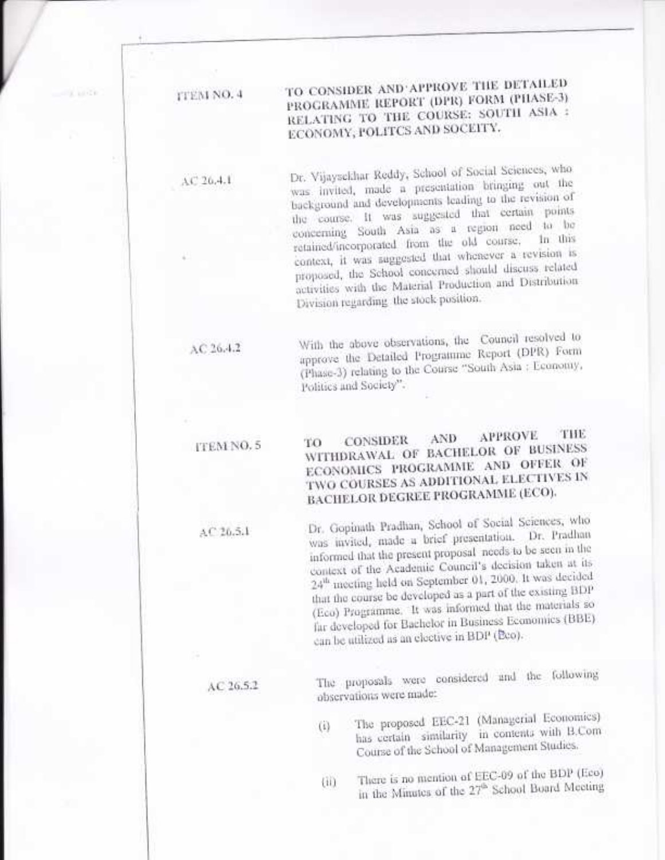## TO CONSIDER AND APPROVE THE DETAILED **TTEM NO. 4** PROGRAMME REPORT (DPR) FORM (PHASE-3) RELATING TO THE COURSE: SOUTH ASIA : ECONOMY, POLITCS AND SOCEITY.

Dr. Vijaysekhar Reddy, School of Social Sciences, who was invited, made a presentation bringing out the background and developments leading to the revision of the course. It was suggested that certain points concerning South Asia as a region need to be retained/incorporated from the old course, In this context, it was suggested that whenever a revision is proposed, the School concerned should discuss related activities with the Material Production and Distribution Division regarding the stock position.

With the above observations, the Council resolved to approve the Detailed Programme Report (DPR) Form (Phase-3) relating to the Course "South Asia : Economy, Politics and Society".

#### THE **APPROVE** AND CONSIDER TO ITEM NO. 5 WITHDRAWAL OF BACHELOR OF BUSINESS ECONOMICS PROGRAMME AND OFFER OF TWO COURSES AS ADDITIONAL ELECTIVES IN BACHELOR DEGREE PROGRAMME (ECO).

Dr. Gopinath Pradhan, School of Social Sciences, who was invited, made a brief presentation. Dr. Pradhan informed that the present proposal needs to be seen in the context of the Academic Council's decision taken at its 24<sup>th</sup> meeting held on September 01, 2000. It was decided that the course be developed as a part of the existing BDP (Eco) Programme. It was informed that the materials so far developed for Bachelor in Business Economics (BBE) can be utilized as an elective in BDP (Bco).

The proposals were considered and the following observations were made:

- The proposed EEC-21 (Managerial Economics)  $(1)$ has certain similarity in contents with B.Com Course of the School of Management Studies.
- There is no mention of EEC-09 of the BDP (Eco)  $(iii)$ in the Minutes of the 27<sup>th</sup> School Board Meeting

AC 26.5.2

 $AC26.5.1$ 

# $AC26.4.2$

 $AC26.4.1$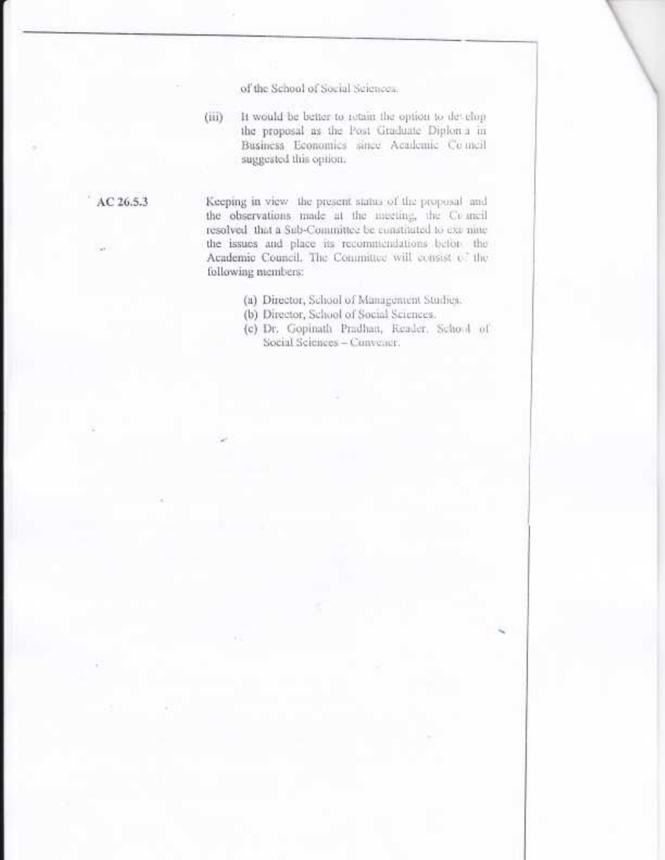of the School of Social Sciences.

It would be better to retain the option to develop  $(iii)$ the proposal as the Post Graduate Diploma in Business Economics since Academic Comeil suggested this option.

AC 26.5.3

Keeping in view the present status of the proposal and the observations made at the meeting, the Council resolved that a Sub-Committee be constituted to exc nine the issues and place its recommendations befor the Academic Council, The Committee will consist of the following members:

- (a) Director, School of Management Studies.
- (b) Director, School of Social Sciences.
- (c) Dr. Gopinath Pradhan, Reader, School of Social Sciences - Convener.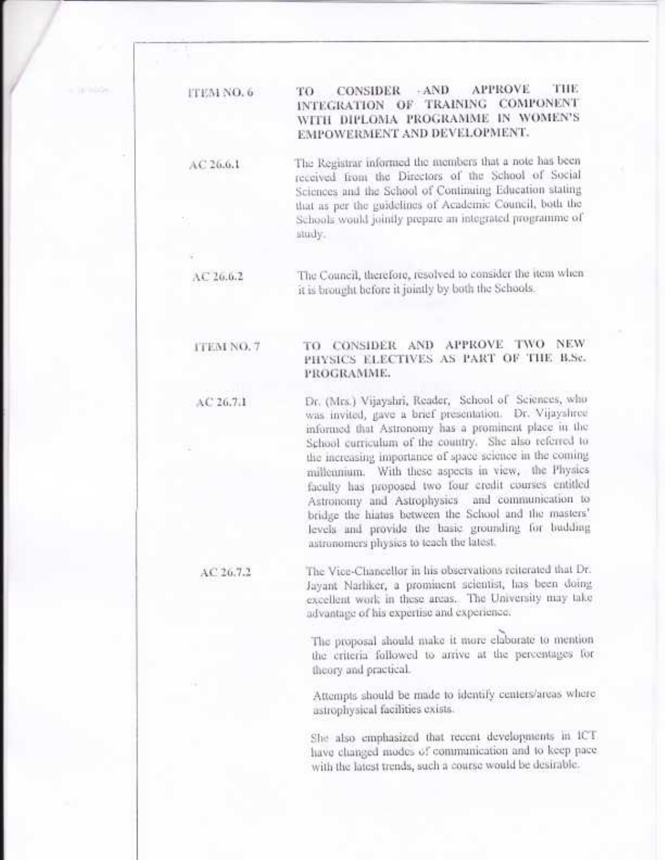#### $-AND$ **APPROVE** THE CONSIDER TO **ITEM NO. 6** INTEGRATION OF TRAINING COMPONENT WITH DIPLOMA PROGRAMME IN WOMEN'S **EMPOWERMENT AND DEVELOPMENT.**

The Registrar informed the members that a note has been received from the Directors of the School of Social Sciences and the School of Continuing Education stating that as per the guidelines of Academic Council, both the Schools would jointly prepare an integrated programme of study.

The Council, therefore, resolved to consider the item when it is brought before it jointly by both the Schools.

### TO CONSIDER AND APPROVE TWO NEW ITEM NO. 7 PHYSICS ELECTIVES AS PART OF THE B.Se. PROGRAMME.

Dr. (Mrs.) Vijayshri, Reader, School of Sciences, who was invited, gave a brief presentation. Dr. Vijayshree informed that Astronomy has a prominent place in the School curriculum of the country. She also referred to the increasing importance of space science in the coming millennium. With these aspects in view, the Physics faculty has proposed two four credit courses entitled Astronomy and Astrophysics and communication to bridge the hiatus between the School and the masters' levels and provide the basic grounding for budding astronomers physics to teach the latest.

The Vice-Chancellor in his observations reiterated that Dr. Jayant Narhiker, a prominent scientist, has been doing excellent work in these areas. The University may take advantage of his expertise and experience.

> The proposal should make it more elaborate to mention the criteria followed to arrive at the percentages for theory and practical.

> Attempts should be made to identify centers/areas where astrophysical facilities exists.

She also emphasized that recent developments in ICT have changed modes of communication and to keep pace with the latest trends, such a course would be desirable.

 $AC26.7.2$ 

 $AC26.6.1$ 

 $AC20.0.2$ 

 $AC26.7.1$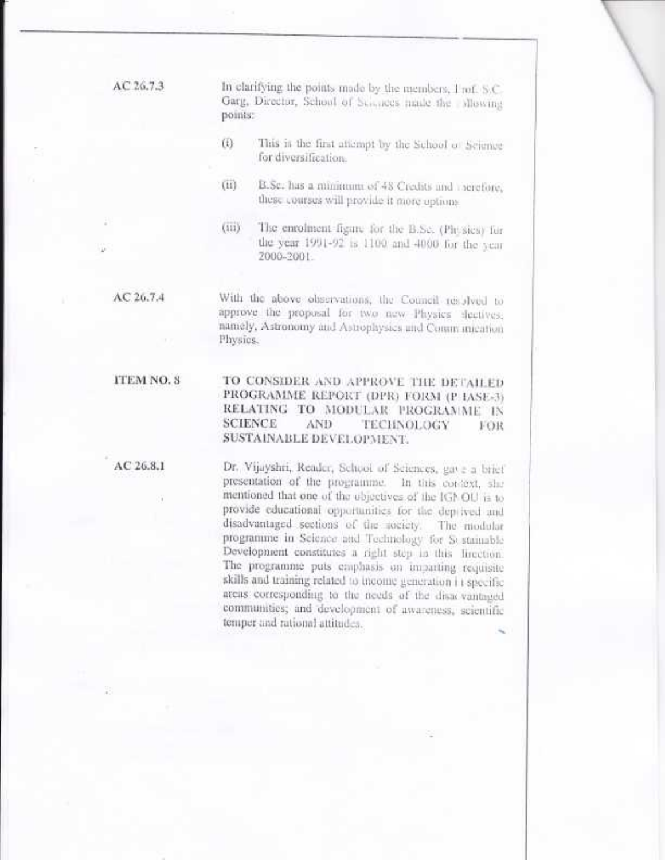| AC 26.7.3 | In clarifying the points made by the members, I rof. S.C.<br>Garg, Director, School of Sciences made the allowing<br>points: |                                                                                                                   |
|-----------|------------------------------------------------------------------------------------------------------------------------------|-------------------------------------------------------------------------------------------------------------------|
|           | (E)                                                                                                                          | This is the first attempt by the School of Science<br>for diversification.                                        |
|           | (11)                                                                                                                         | B.Sc. has a minimum of 48 Credits and rerefore,<br>these courses will provide it more options.                    |
|           | (iii)                                                                                                                        | The enrolment figure for the B.Sc. (Pit sics) for<br>the year 1991-92 is 1100 and 4000 for the year<br>2000-2001. |

With the above observations, the Council resolved to approve the proposal for two new Physics dectives; namely, Astronomy and Astrophysics and Comm mication Physics.

#### ITEM NO. 8 TO CONSIDER AND APPROVE THE DETAILED PROGRAMME REPORT (DPR) FORM (P IASE-3) RELATING TO MODULAR PROGRAMME IN **SCIENCE** AND. TECHNOLOGY гок SUSTAINABLE DEVELOPMENT.

 $AC26.8.1$ 

 $AC26.7.4$ 

Dr. Vijayshti, Reader, School of Sciences, gave a brief presentation of the programme. In this context, she mentioned that one of the objectives of the IGNOU is to provide educational opportunities for the deplived and disadvantaged sections of the society. The modular programme in Science and Technology for Sestainable Development constitutes a right step in this lirection. The programme puts emphasis on imparting requisite skills and training related to income generation i i specific areas corresponding to the needs of the disacvantaged communities; and development of awareness, scientific temper and rational attitudes.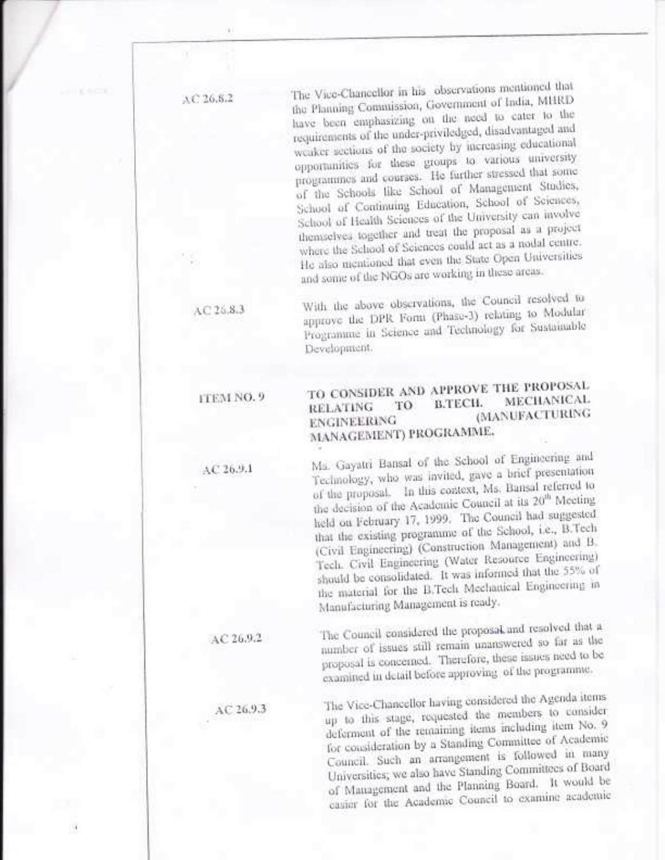The Vice-Chancellor in his observations mentioned that AC 26.8.2 the Planning Commission, Government of India, MHRD have been emphasizing on the need to cater to the requirements of the under-priviledged, disadvantaged and weaker acctions of the society by increasing educational opportunities for these groups to various university programmes and courses. He further stressed that some of the Schools like School of Management Studies, School of Continuing Education, School of Sciences, School of Health Sciences of the University can involve themselves together and treat the proposal as a project where the School of Sciences could act as a nodal centre. He also mentioned that even the State Open Universities and some of the NGOs are working in these areas.

> With the above observations, the Council resolved to approve the DPR Form (Phase-3) relating to Modular Programme in Science and Technology for Sustainable Development.

#### TO CONSIDER AND APPROVE THE PROPOSAL ITEM NO. 9 **MECHANICAL** B.TECH. TO **RELATING** (MANUFACTURING **ENGINEERING** MANAGEMENT) PROGRAMME.

Ms. Gayatri Bansal of the School of Engineering and Technology, who was invited, gave a brief presentation of the proposal. In this context, Ms. Bansal referred to the decision of the Academic Council at its 20<sup>th</sup> Meeting held on February 17, 1999. The Council had suggested that the existing programme of the School, i.e., B.Tech (Civil Engineering) (Construction Management) and B. Tech. Civil Engineering (Water Resource Engineering) should be consolidated. It was informed that the 55% of the material for the B.Tech Mechanical Engineering in Manufacturing Management is ready.

The Council considered the proposal and resolved that a number of issues still remain unanswered so far as the proposal is concerned. Therefore, these issues need to be examined in detail before approving of the programme.

The Vice-Chancellor having considered the Agenda items up to this stage, requested the members to consider deferment of the remaining items including item No. 9 for consideration by a Standing Committee of Academic Council. Such an arrangement is followed in many Universities; we also have Standing Committees of Board of Management and the Planning Board. It would be casier for the Academic Council to examine academic

 $AC26.83$ 

 $AC26.9.1$ 

AC 26.9.2

AC 26.9.3